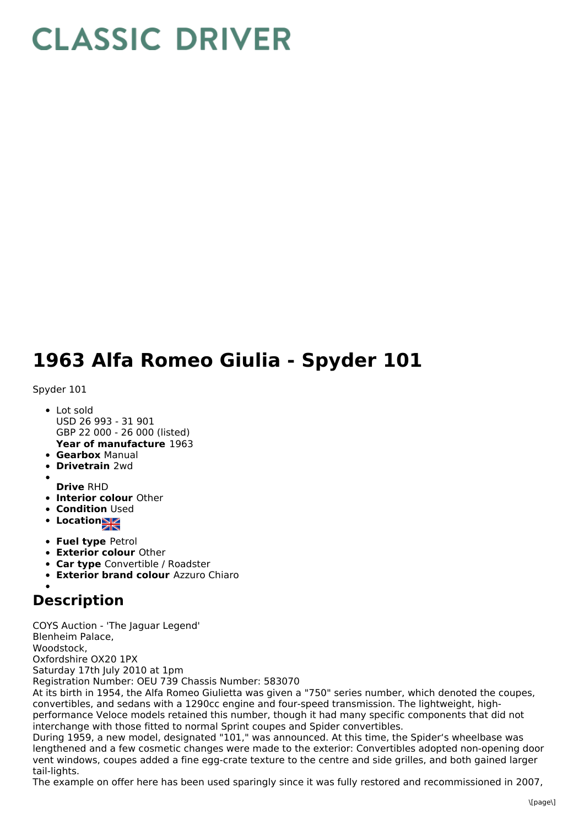## **CLASSIC DRIVER**

## **1963 Alfa Romeo Giulia - Spyder 101**

Spyder 101

- **Year of manufacture** 1963 Lot sold USD 26 993 - 31 901 GBP 22 000 - 26 000 (listed)
- **Gearbox** Manual
- **Drivetrain** 2wd
- 
- **Drive** RHD
- **Interior colour** Other
- **Condition Used**
- **Location**
- **Fuel type** Petrol
- **Exterior colour** Other
- **Car type** Convertible / Roadster
- **Exterior brand colour** Azzuro Chiaro

## **Description**

COYS Auction - 'The Jaguar Legend' Blenheim Palace, Woodstock,

Oxfordshire OX20 1PX

Saturday 17th July 2010 at 1pm

Registration Number: OEU 739 Chassis Number: 583070

At its birth in 1954, the Alfa Romeo Giulietta was given a "750" series number, which denoted the coupes, convertibles, and sedans with a 1290cc engine and four-speed transmission. The lightweight, highperformance Veloce models retained this number, though it had many specific components that did not interchange with those fitted to normal Sprint coupes and Spider convertibles.

During 1959, a new model, designated "101," was announced. At this time, the Spider's wheelbase was lengthened and a few cosmetic changes were made to the exterior: Convertibles adopted non-opening door vent windows, coupes added a fine egg-crate texture to the centre and side grilles, and both gained larger tail-lights.

The example on offer here has been used sparingly since it was fully restored and recommissioned in 2007,